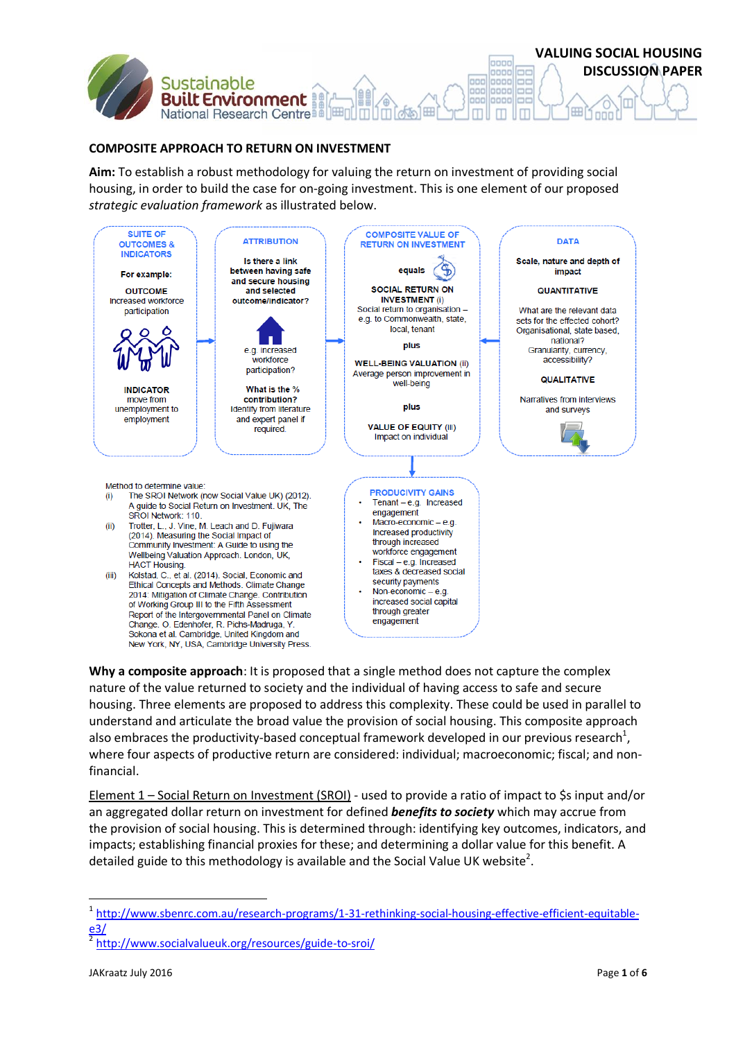

## **COMPOSITE APPROACH TO RETURN ON INVESTMENT**

**Aim:** To establish a robust methodology for valuing the return on investment of providing social housing, in order to build the case for on-going investment. This is one element of our proposed *strategic evaluation framework* as illustrated below.



**Why a composite approach**: It is proposed that a single method does not capture the complex nature of the value returned to society and the individual of having access to safe and secure housing. Three elements are proposed to address this complexity. These could be used in parallel to understand and articulate the broad value the provision of social housing. This composite approach also embraces the productivity-based conceptual framework developed in our previous research<sup>1</sup>, where four aspects of productive return are considered: individual; macroeconomic; fiscal; and nonfinancial.

Element 1 – Social Return on Investment (SROI) - used to provide a ratio of impact to \$s input and/or an aggregated dollar return on investment for defined *benefits to society* which may accrue from the provision of social housing. This is determined through: identifying key outcomes, indicators, and impacts; establishing financial proxies for these; and determining a dollar value for this benefit. A detailed guide to this methodology is available and the Social Value UK website<sup>2</sup>.

**.** 

<sup>1</sup> [http://www.sbenrc.com.au/research-programs/1-31-rethinking-social-housing-effective-efficient-equitable](http://www.sbenrc.com.au/research-programs/1-31-rethinking-social-housing-effective-efficient-equitable-e3/)[e3/](http://www.sbenrc.com.au/research-programs/1-31-rethinking-social-housing-effective-efficient-equitable-e3/)

<sup>2</sup> <http://www.socialvalueuk.org/resources/guide-to-sroi/>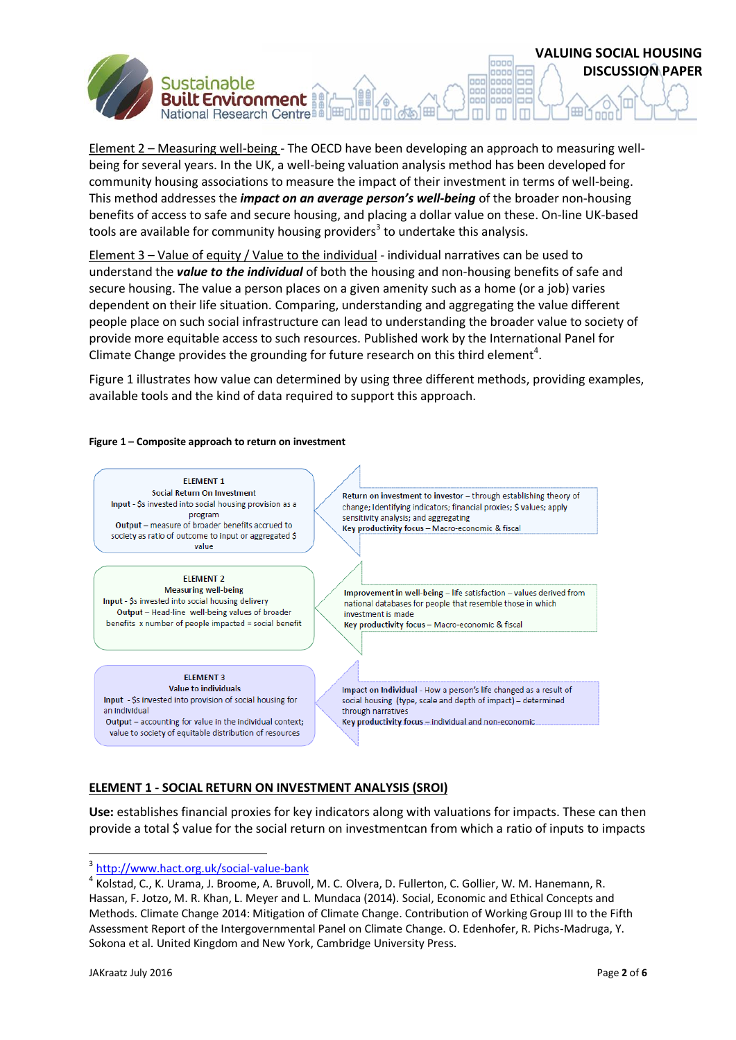Element 2 – Measuring well-being - The OECD have been developing an approach to measuring wellbeing for several years. In the UK, a well-being valuation analysis method has been developed for community housing associations to measure the impact of their investment in terms of well-being. This method addresses the *impact on an average person's well-being* of the broader non-housing benefits of access to safe and secure housing, and placing a dollar value on these. On-line UK-based tools are available for community housing providers<sup>3</sup> to undertake this analysis.

Element 3 – Value of equity / Value to the individual - individual narratives can be used to understand the *value to the individual* of both the housing and non-housing benefits of safe and secure housing. The value a person places on a given amenity such as a home (or a job) varies dependent on their life situation. Comparing, understanding and aggregating the value different people place on such social infrastructure can lead to understanding the broader value to society of provide more equitable access to such resources. Published work by the International Panel for Climate Change provides the grounding for future research on this third element<sup>4</sup>.

Figure 1 illustrates how value can determined by using three different methods, providing examples, available tools and the kind of data required to support this approach.

#### **Figure 1 – Composite approach to return on investment**

National Research Centre in



## **ELEMENT 1 - SOCIAL RETURN ON INVESTMENT ANALYSIS (SROI)**

**Use:** establishes financial proxies for key indicators along with valuations for impacts. These can then provide a total \$ value for the social return on investmentcan from which a ratio of inputs to impacts

**VALUING SOCIAL HOUSING**

oooo 0000 mm

ooc anno oooc 0000 **DISCUSSION PAPER**

 3 <http://www.hact.org.uk/social-value-bank>

<sup>&</sup>lt;sup>4</sup> Kolstad, C., K. Urama, J. Broome, A. Bruvoll, M. C. Olvera, D. Fullerton, C. Gollier, W. M. Hanemann, R. Hassan, F. Jotzo, M. R. Khan, L. Meyer and L. Mundaca (2014). Social, Economic and Ethical Concepts and Methods. Climate Change 2014: Mitigation of Climate Change. Contribution of Working Group III to the Fifth Assessment Report of the Intergovernmental Panel on Climate Change. O. Edenhofer, R. Pichs-Madruga, Y. Sokona et al. United Kingdom and New York, Cambridge University Press.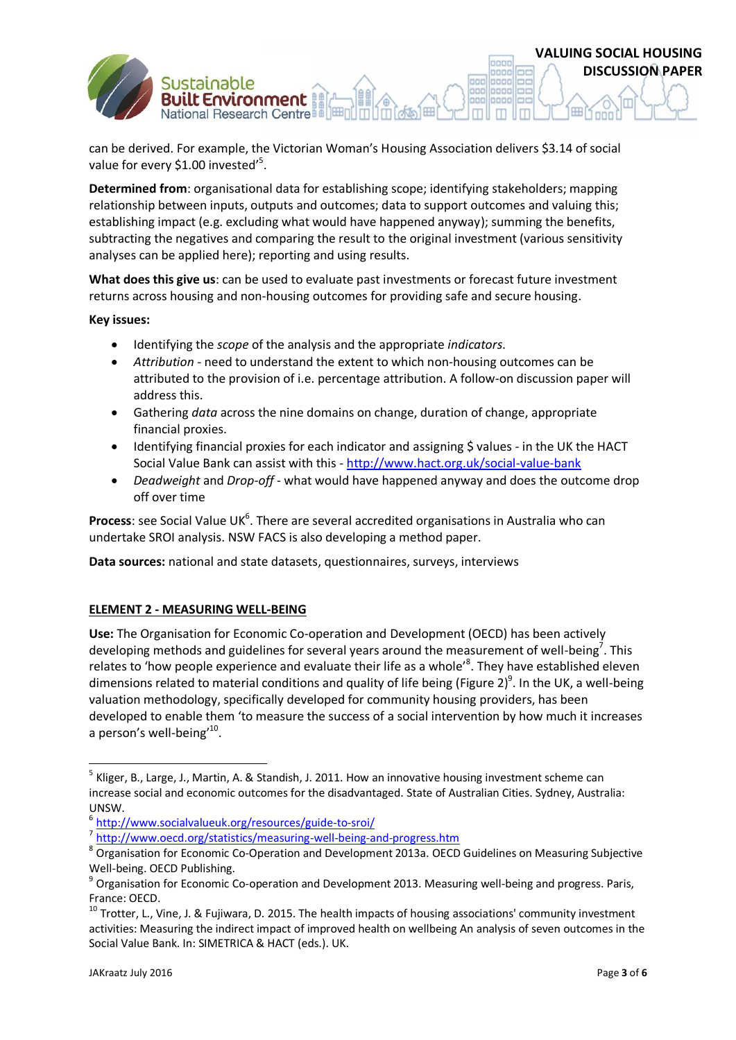can be derived. For example, the Victorian Woman's Housing Association delivers \$3.14 of social value for every \$1.00 invested'<sup>5</sup>.

**Determined from**: organisational data for establishing scope; identifying stakeholders; mapping relationship between inputs, outputs and outcomes; data to support outcomes and valuing this; establishing impact (e.g. excluding what would have happened anyway); summing the benefits, subtracting the negatives and comparing the result to the original investment (various sensitivity analyses can be applied here); reporting and using results.

**What does this give us**: can be used to evaluate past investments or forecast future investment returns across housing and non-housing outcomes for providing safe and secure housing.

**Key issues:**

Identifying the *scope* of the analysis and the appropriate *indicators*.

National Research Centre B

- *Attribution* need to understand the extent to which non-housing outcomes can be attributed to the provision of i.e. percentage attribution. A follow-on discussion paper will address this.
- Gathering *data* across the nine domains on change, duration of change, appropriate financial proxies.
- Identifying financial proxies for each indicator and assigning \$ values in the UK the HACT Social Value Bank can assist with this - <http://www.hact.org.uk/social-value-bank>
- *Deadweight* and *Drop-off* what would have happened anyway and does the outcome drop off over time

Process: see Social Value UK<sup>6</sup>. There are several accredited organisations in Australia who can undertake SROI analysis. NSW FACS is also developing a method paper.

**Data sources:** national and state datasets, questionnaires, surveys, interviews

### **ELEMENT 2 - MEASURING WELL-BEING**

**Use:** The Organisation for Economic Co-operation and Development (OECD) has been actively developing methods and guidelines for several years around the measurement of well-being<sup>7</sup>. This relates to 'how people experience and evaluate their life as a whole'<sup>8</sup>. They have established eleven dimensions related to material conditions and quality of life being [\(Figure 2\)](#page-3-0)<sup>9</sup>. In the UK, a well-being valuation methodology, specifically developed for community housing providers, has been developed to enable them 'to measure the success of a social intervention by how much it increases a person's well-being'<sup>10</sup>.

<sup>7</sup> <http://www.oecd.org/statistics/measuring-well-being-and-progress.htm>

**.** 

**VALUING SOCIAL HOUSING**

lagge oooo

nne anno **DISCUSSION PAPER**

<sup>&</sup>lt;sup>5</sup> Kliger, B., Large, J., Martin, A. & Standish, J. 2011. How an innovative housing investment scheme can increase social and economic outcomes for the disadvantaged. State of Australian Cities. Sydney, Australia: UNSW.

<sup>6</sup> <http://www.socialvalueuk.org/resources/guide-to-sroi/>

<sup>&</sup>lt;sup>8</sup> Organisation for Economic Co-Operation and Development 2013a. OECD Guidelines on Measuring Subjective Well-being. OECD Publishing.

<sup>&</sup>lt;sup>9</sup> Organisation for Economic Co-operation and Development 2013. Measuring well-being and progress. Paris, France: OECD.

 $^{10}$  Trotter, L., Vine, J. & Fujiwara, D. 2015. The health impacts of housing associations' community investment activities: Measuring the indirect impact of improved health on wellbeing An analysis of seven outcomes in the Social Value Bank. In: SIMETRICA & HACT (eds.). UK.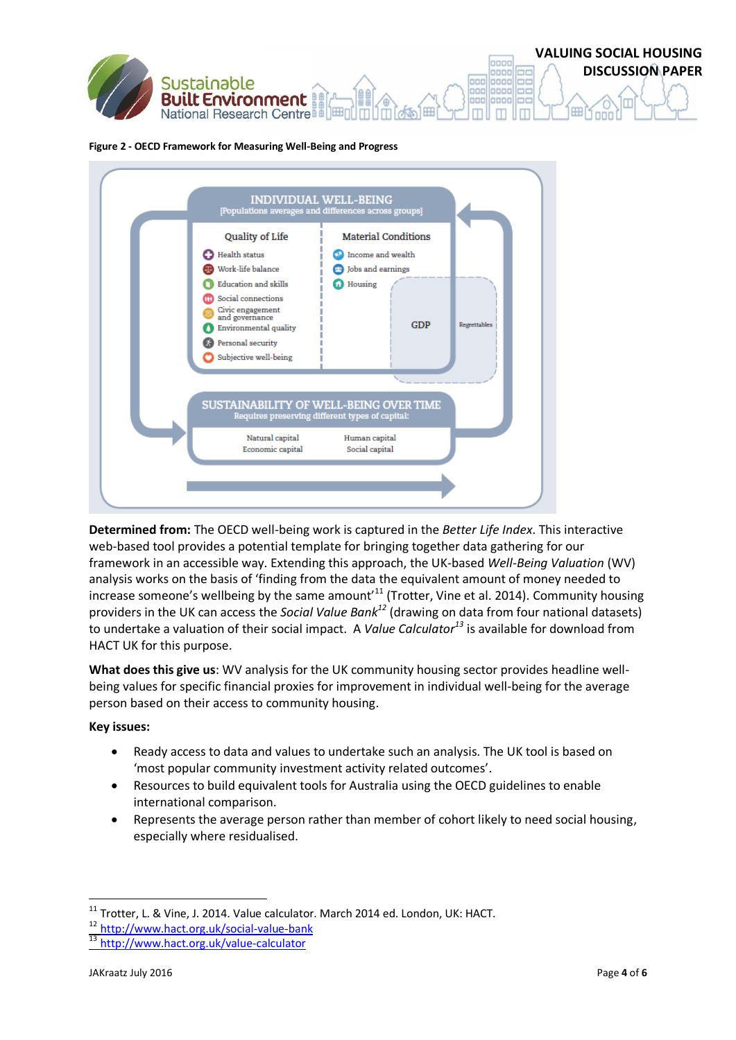

### <span id="page-3-0"></span>**Figure 2 - OECD Framework for Measuring Well-Being and Progress**



**Determined from:** The OECD well-being work is captured in the *Better Life Index*. This interactive web-based tool provides a potential template for bringing together data gathering for our framework in an accessible way. Extending this approach, the UK-based *Well-Being Valuation* (WV) analysis works on the basis of 'finding from the data the equivalent amount of money needed to increase someone's wellbeing by the same amount<sup>11</sup> (Trotter, Vine et al. 2014). Community housing providers in the UK can access the *Social Value Bank<sup>12</sup>* (drawing on data from four national datasets) to undertake a valuation of their social impact. A *Value Calculator<sup>13</sup>* is available for download from HACT UK for this purpose.

**What does this give us**: WV analysis for the UK community housing sector provides headline wellbeing values for specific financial proxies for improvement in individual well-being for the average person based on their access to community housing.

## **Key issues:**

- Ready access to data and values to undertake such an analysis. The UK tool is based on 'most popular community investment activity related outcomes'.
- Resources to build equivalent tools for Australia using the OECD guidelines to enable international comparison.
- Represents the average person rather than member of cohort likely to need social housing, especially where residualised.

**.** 

 $^{11}$  Trotter, L. & Vine, J. 2014. Value calculator. March 2014 ed. London, UK: HACT.

<sup>12</sup> <http://www.hact.org.uk/social-value-bank>

<sup>13</sup> <http://www.hact.org.uk/value-calculator>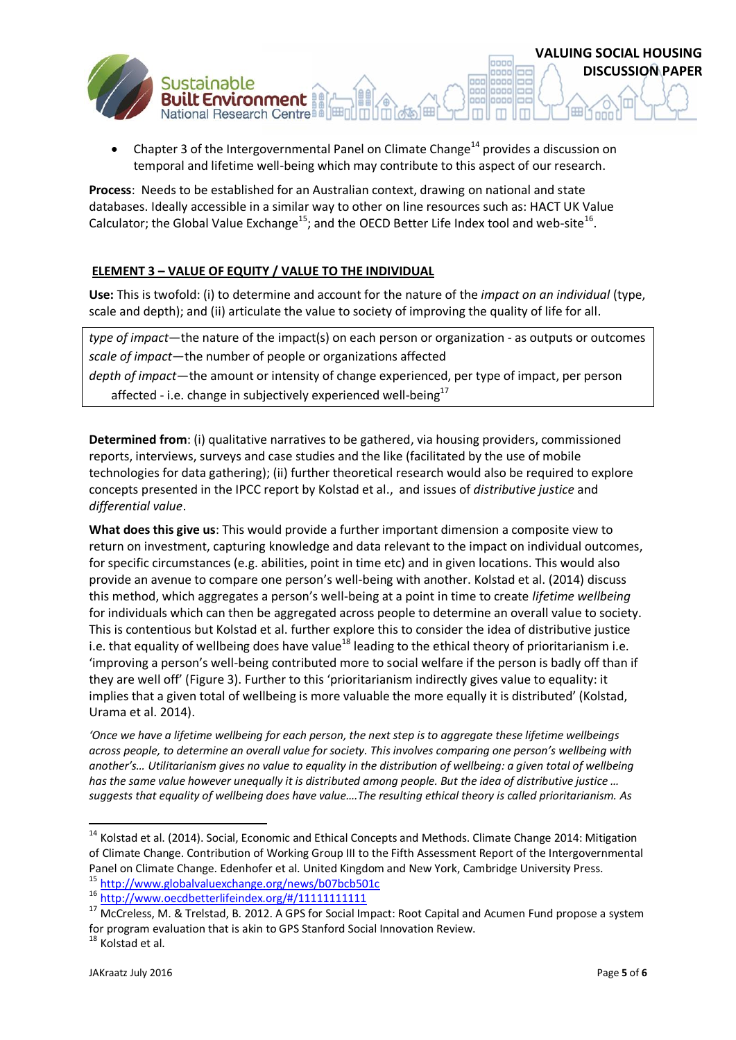

**Process**: Needs to be established for an Australian context, drawing on national and state databases. Ideally accessible in a similar way to other on line resources such as: HACT UK Value Calculator; the Global Value Exchange<sup>15</sup>; and the OECD Better Life Index tool and web-site<sup>16</sup>.

# **ELEMENT 3 – VALUE OF EQUITY / VALUE TO THE INDIVIDUAL**

National Research Centre

**Use:** This is twofold: (i) to determine and account for the nature of the *impact on an individual* (type, scale and depth); and (ii) articulate the value to society of improving the quality of life for all.

*type of impact*—the nature of the impact(s) on each person or organization - as outputs or outcomes *scale of impact*—the number of people or organizations affected *depth of impact*—the amount or intensity of change experienced, per type of impact, per person affected - i.e. change in subjectively experienced well-being<sup>17</sup>

**Determined from**: (i) qualitative narratives to be gathered, via housing providers, commissioned reports, interviews, surveys and case studies and the like (facilitated by the use of mobile technologies for data gathering); (ii) further theoretical research would also be required to explore concepts presented in the IPCC report by Kolstad et al., and issues of *distributive justice* and *differential value*.

**What does this give us**: This would provide a further important dimension a composite view to return on investment, capturing knowledge and data relevant to the impact on individual outcomes, for specific circumstances (e.g. abilities, point in time etc) and in given locations. This would also provide an avenue to compare one person's well-being with another. Kolstad et al. (2014) discuss this method, which aggregates a person's well-being at a point in time to create *lifetime wellbeing* for individuals which can then be aggregated across people to determine an overall value to society. This is contentious but Kolstad et al. further explore this to consider the idea of distributive justice i.e. that equality of wellbeing does have value<sup>18</sup> leading to the ethical theory of prioritarianism i.e. 'improving a person's well-being contributed more to social welfare if the person is badly off than if they are well off' ([Figure 3\)](#page-5-0). Further to this 'prioritarianism indirectly gives value to equality: it implies that a given total of wellbeing is more valuable the more equally it is distributed' (Kolstad, Urama et al. 2014).

*'Once we have a lifetime wellbeing for each person, the next step is to aggregate these lifetime wellbeings across people, to determine an overall value for society. This involves comparing one person's wellbeing with another's… Utilitarianism gives no value to equality in the distribution of wellbeing: a given total of wellbeing has the same value however unequally it is distributed among people. But the idea of distributive justice … suggests that equality of wellbeing does have value….The resulting ethical theory is called prioritarianism. As* 

**.** 

**VALUING SOCIAL HOUSING**

oooo 0000

ooc anno oooc 0000 **DISCUSSION PAPER**

<sup>&</sup>lt;sup>14</sup> Kolstad et al. (2014). Social, Economic and Ethical Concepts and Methods. Climate Change 2014: Mitigation of Climate Change. Contribution of Working Group III to the Fifth Assessment Report of the Intergovernmental Panel on Climate Change. Edenhofer et al. United Kingdom and New York, Cambridge University Press. <sup>15</sup> <http://www.globalvaluexchange.org/news/b07bcb501c>

<sup>16</sup> <http://www.oecdbetterlifeindex.org/#/11111111111>

<sup>&</sup>lt;sup>17</sup> McCreless, M. & Trelstad, B. 2012. A GPS for Social Impact: Root Capital and Acumen Fund propose a system for program evaluation that is akin to GPS Stanford Social Innovation Review.

<sup>&</sup>lt;sup>18</sup> Kolstad et al.